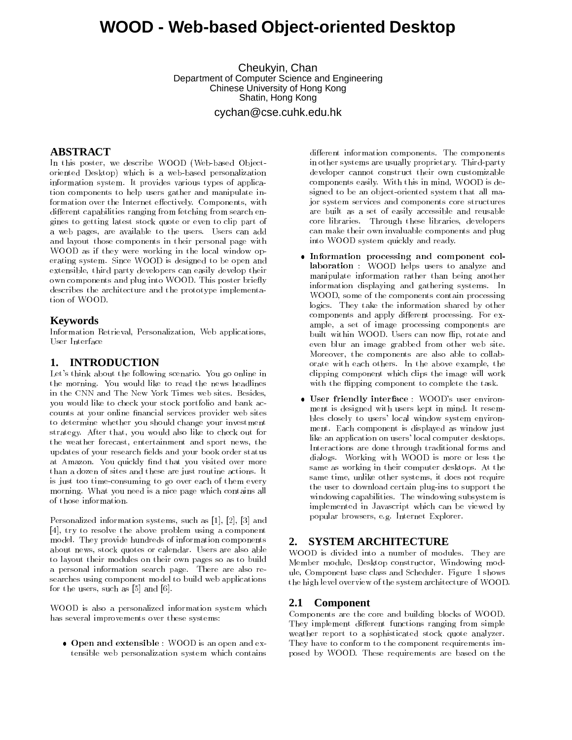# **WOOD - Web-based Object-oriented Desktop**

Cheukyin, Chan Department of Computer Science and Engineering Chinese University of Hong Kong Shatin, Hong Kong

cychan@cse.cuhk.edu.hk

# **ABSTRACT**

In this poster, we describe WOOD (Web-based Objectoriented Desktop) which is a web-based personalization information system. It provides various types of application components to help users gather and manipulate information over the Internet effectively. Components, with different capabilities ranging from fetching from search engines to getting latest stock quote or even to clip part of a web pages, are available to the users. Users can add and layout those components in their personal page with WOOD as if they were working in the local window operating system. Since WOOD is designed to be open and extensible, third party developers can easily develop their own components and plug into WOOD. This poster briefly describes the architecture and the prototype implementation of WOOD.

#### **Keywords**

Information Retrieval, Personalization, Web applications, User Interface

### **1. INTRODUCTION**

Let's think about the following scenario. You go online in the morning. You would like to read the news headlines in the CNN and The New York Times web sites. Besides, you would like to check your stock portfolio and bank accounts at your online financial services provider web sites to determine whether you should change your investment strategy. After that, you would also like to check out for the weather forecast, entertainment and sport news, the updates of your research fields and your book order status at Amazon. You quickly find that you visited over more than a dozen of sites and these are just routine actions. It is just too time-consuming to go over each of them every morning. What you need is a nice page which contains all of those information.

Personalized information systems, such as [1], [2], [3] and [4], try to resolve the above problem using a component model. They provide hundreds of information components about news, stock quotes or calendar. Users are also able to layout their modules on their own pages so as to build a personal information search page. There are also researches using component model to build web applications for the users, such as [5] and [6].

WOOD is also a personalized information system which has several improvements over these systems:

 Open and extensible : WOOD is an open and extensible web personalization system which contains different information components. The components in other systems are usually proprietary. Third-party developer cannot construct their own customizable components easily. With this in mind, WOOD is designed to be an object-oriented system that all major system services and components core structures are built as a set of easily accessible and reusable core libraries. Through these libraries, developers can make their own invaluable components and plug into WOOD system quickly and ready.

- Information processing and component collaboration : WOOD helps users to analyze and manipulate information rather than being another information displaying and gathering systems. In WOOD, some of the components contain processing logics. They take the information shared by other components and apply different processing. For example, a set of image processing components are built within WOOD. Users can now flip, rotate and even blur an image grabbed from other web site. Moreover, the components are also able to collaborate with each others. In the above example, the clipping component which clips the image will work with the flipping component to complete the task.
- User friendly interface : WOOD's user environ ment is designed with users kept in mind. It resembles closely to users' local window system environ ment. Each component is displayed as window just like an application on users' local computer desktops. Interactions are done through traditional forms and dialogs. Working with WOOD is more or less the same as working in their computer desktops. At the same time, unlike other systems, it does not require the user to download certain plug-ins to support the windowing capabilities. The windowing subsystem is implemented in Javascript which can be viewed by popular browsers, e.g. Internet Explorer.

# **2. SYSTEM ARCHITECTURE**

WOOD is divided into a number of modules. They are Member module, Desktop constructor, Windowing module, Component base class and Scheduler. Figure 1 shows the high level overview of the system architecture of WOOD.

### **2.1 Component**

Components are the core and building blocks of WOOD. They implement different functions ranging from simple weather report to a sophisticated stock quote analyzer. They have to conform to the component requirements imposed by WOOD. These requirements are based on the